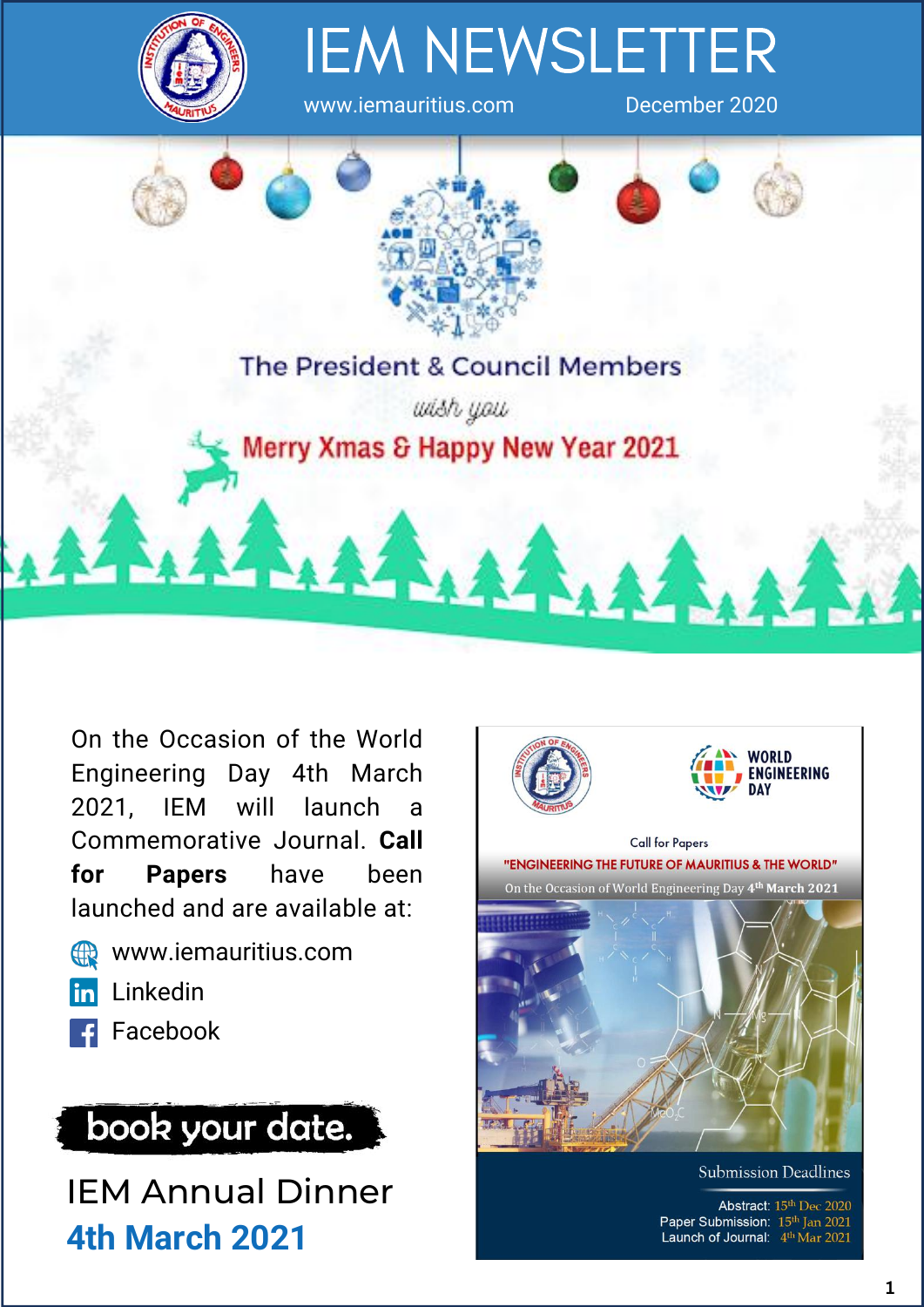

# IEM NEWSLETTER

www.iemauritius.com December 2020



On the Occasion of the World Engineering Day 4th March 2021, IEM will launch a Commemorative Journal. **Call for Papers** have been launched and are available at:

- www.iemauritius.com 49
- **in** Linkedin
- **F** Facebook



IEM Annual Dinner **4th March 2021**



Abstract: 15th Dec 2020 Paper Submission: 15th Jan 2021 Launch of Journal: 4th Mar 2021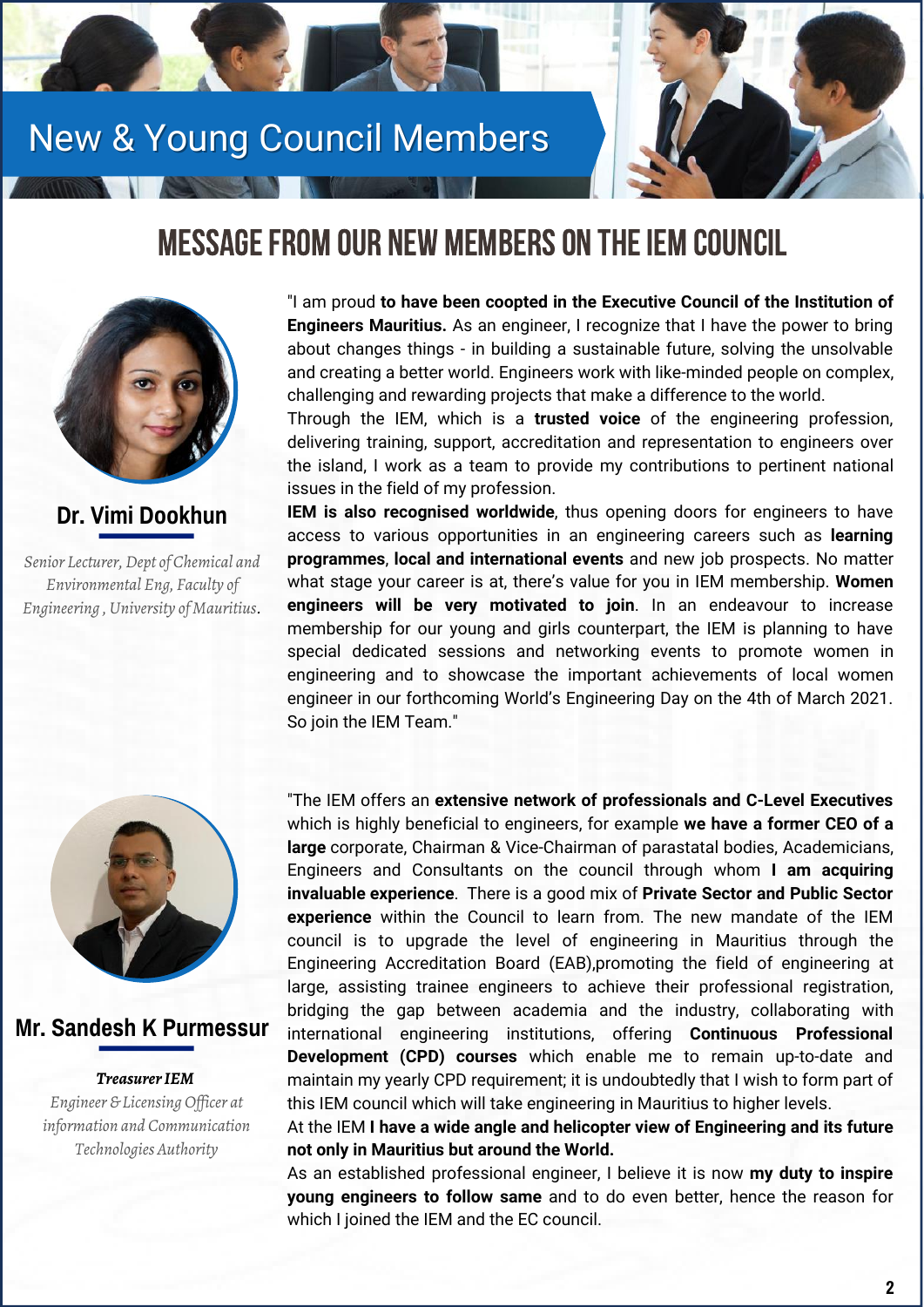# New & Young Council Members



# MESSAGE FROM OUR NEW MEMBERS ON THE IEM COUNCIL



#### **Dr. Vimi Dookhun**

*Senior Lecturer, Dept of Chemical and Environmental Eng, Faculty of Engineering , University of Mauritius.* "I am proud **to have been coopted in the Executive Council of the Institution of Engineers Mauritius.** As an engineer, I recognize that I have the power to bring about changes things - in building a sustainable future, solving the unsolvable and creating a better world. Engineers work with like-minded people on complex, challenging and rewarding projects that make a difference to the world.

Through the IEM, which is a **trusted voice** of the engineering profession, delivering training, support, accreditation and representation to engineers over the island, I work as a team to provide my contributions to pertinent national issues in the field of my profession.

**IEM is also recognised worldwide**, thus opening doors for engineers to have access to various opportunities in an engineering careers such as **learning programmes**, **local and international events** and new job prospects. No matter what stage your career is at, there's value for you in IEM membership. **Women engineers will be very motivated to join**. In an endeavour to increase membership for our young and girls counterpart, the IEM is planning to have special dedicated sessions and networking events to promote women in engineering and to showcase the important achievements of local women engineer in our forthcoming World's Engineering Day on the 4th of March 2021. So join the IEM Team."



#### **Mr. Sandesh K Purmessur**

#### *TreasurerIEM*

*Engineer & Licensing Of icer at information and Communication Technologies Authority*

"The IEM offers an **extensive network of professionals and C-Level Executives** which is highly beneficial to engineers, for example **we have a former CEO of a large** corporate, Chairman & Vice-Chairman of parastatal bodies, Academicians, Engineers and Consultants on the council through whom **I am acquiring invaluable experience**. There is a good mix of **Private Sector and Public Sector experience** within the Council to learn from. The new mandate of the IEM council is to upgrade the level of engineering in Mauritius through the Engineering Accreditation Board (EAB),promoting the field of engineering at large, assisting trainee engineers to achieve their professional registration, bridging the gap between academia and the industry, collaborating with international engineering institutions, offering **Continuous Professional Development (CPD) courses** which enable me to remain up-to-date and maintain my yearly CPD requirement; it is undoubtedly that I wish to form part of this IEM council which will take engineering in Mauritius to higher levels.

At the IEM **I have a wide angle and helicopter view of Engineering and its future not only in Mauritius but around the World.**

As an established professional engineer, I believe it is now **my duty to inspire young engineers to follow same** and to do even better, hence the reason for which I joined the IEM and the EC council.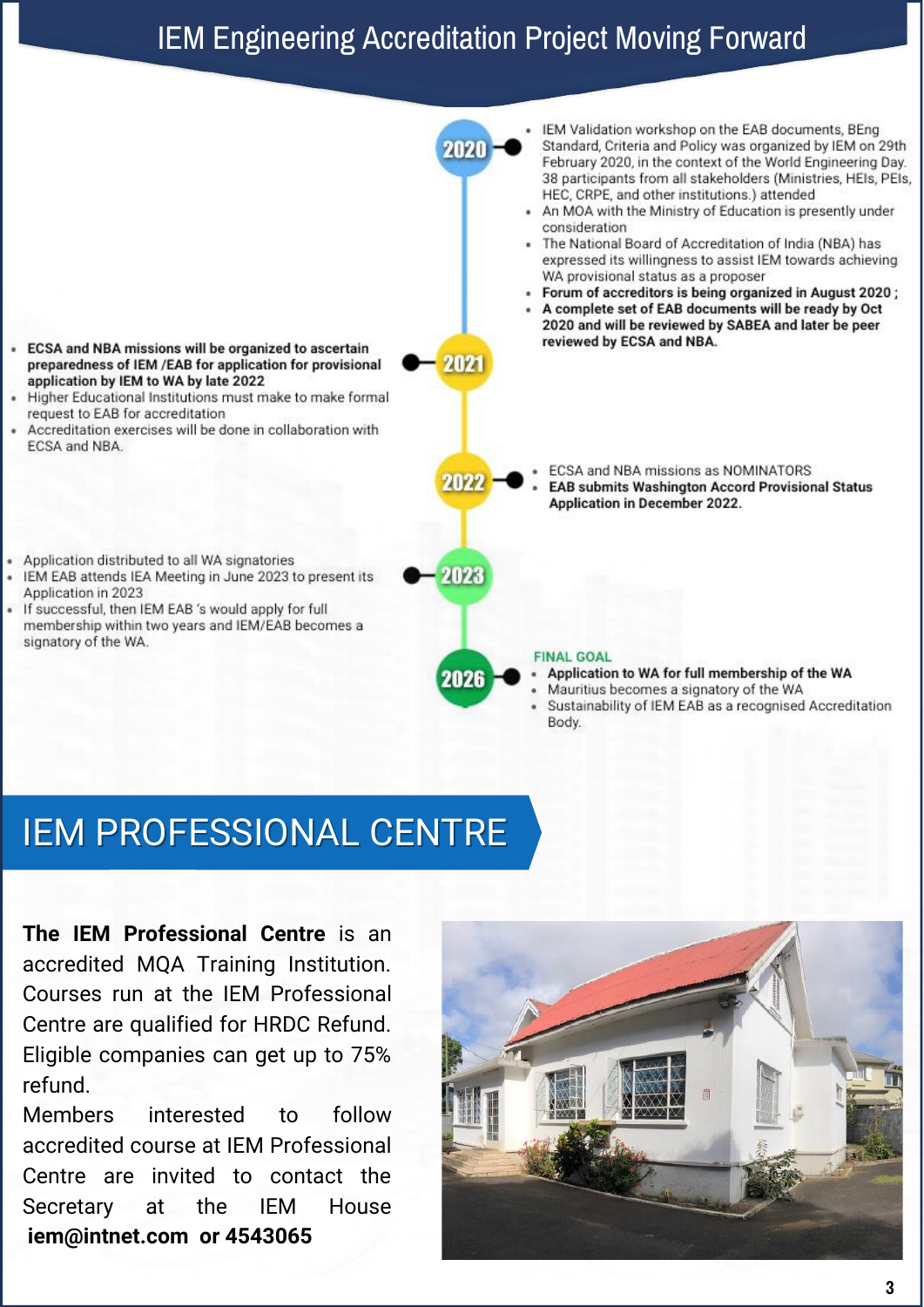# IEM Engineering Accreditation Project Moving Forward



# IEM PROFESSIONAL CENTRE

**The IEM Professional Centre** is an accredited MQA Training Institution. Courses run at the IEM Professional Centre are qualified for HRDC Refund. Eligible companies can get up to 75% refund.

Members interested to follow accredited course at IEM Professional Centre are invited to contact the Secretary at the IEM House **iem@intnet.com or 4543065**

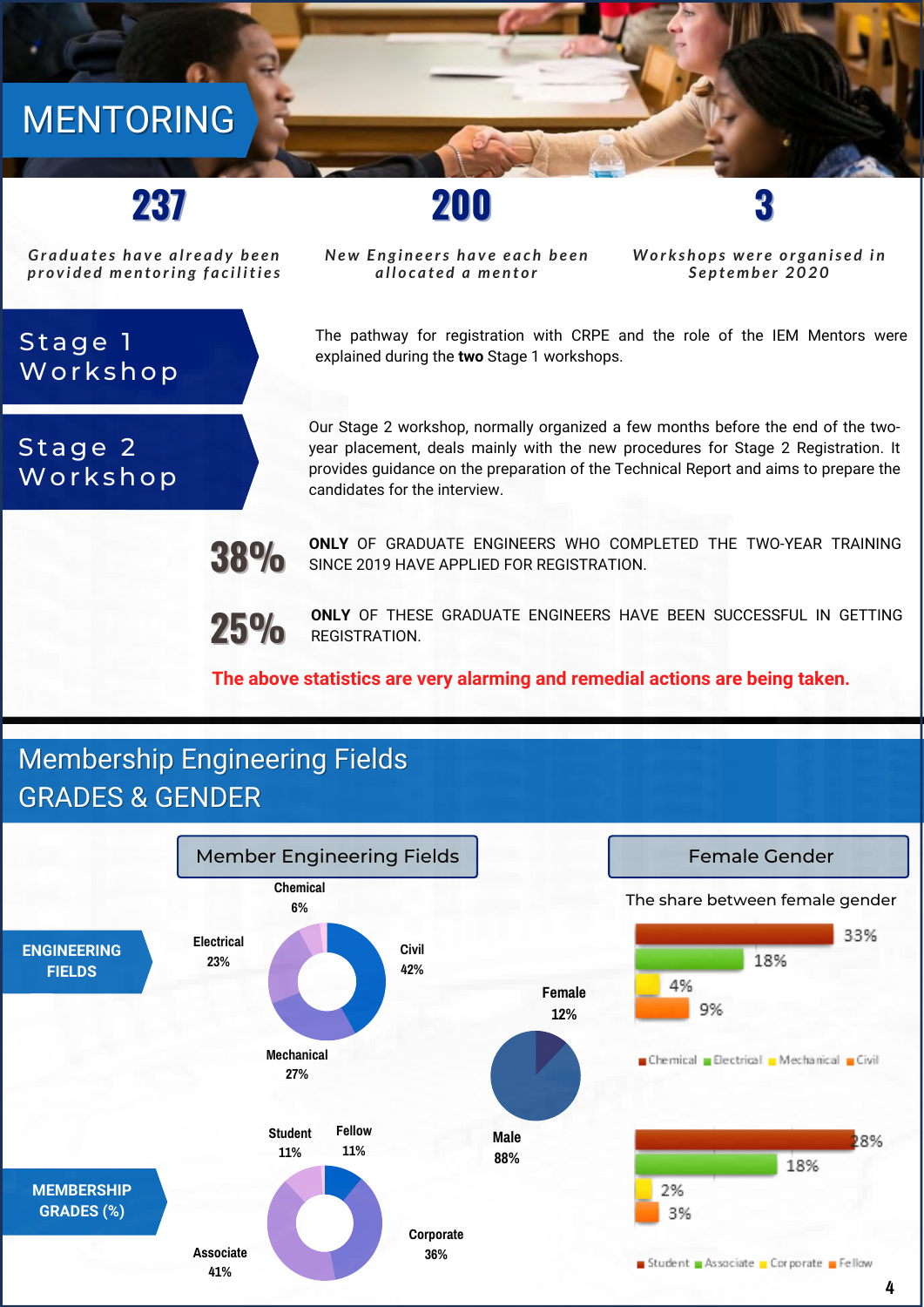# MENTORING

# **237**

*Gr a d u a t e s h a v e a lr e a d y b e e n p r o v i d e d me n t o ri n g f a c i l iti e s*

Stage 1

Stage 2

Workshop

Workshop

*New Engineers have each been a l l o c a t e d a me n t o r*

**200 3**

*Morkshops were organised in S e p t emb e r 2 0 2 0*

The pathway for registration with CRPE and the role of the IEM Mentors were explained during the **two** Stage 1 workshops.

Our Stage 2 workshop, normally organized a few months before the end of the twoyear placement, deals mainly with the new procedures for Stage 2 Registration. It provides guidance on the preparation of the Technical Report and aims to prepare the candidates for the interview.

**ONLY** OF GRADUATE ENGINEERS WHO COMPLETED THE TWO-YEAR TRAINING SINCE 2019 HAVE APPLIED FOR REGISTRATION.

**25% ONLY** OF THESE GRADUATE ENGINEERS HAVE BEEN SUCCESSFUL IN GETTING REGISTRATION.

#### **The above statistics are very alarming and remedial actions are being taken.**

### Membership Engineering Fields GRADES & GENDER

**38%**